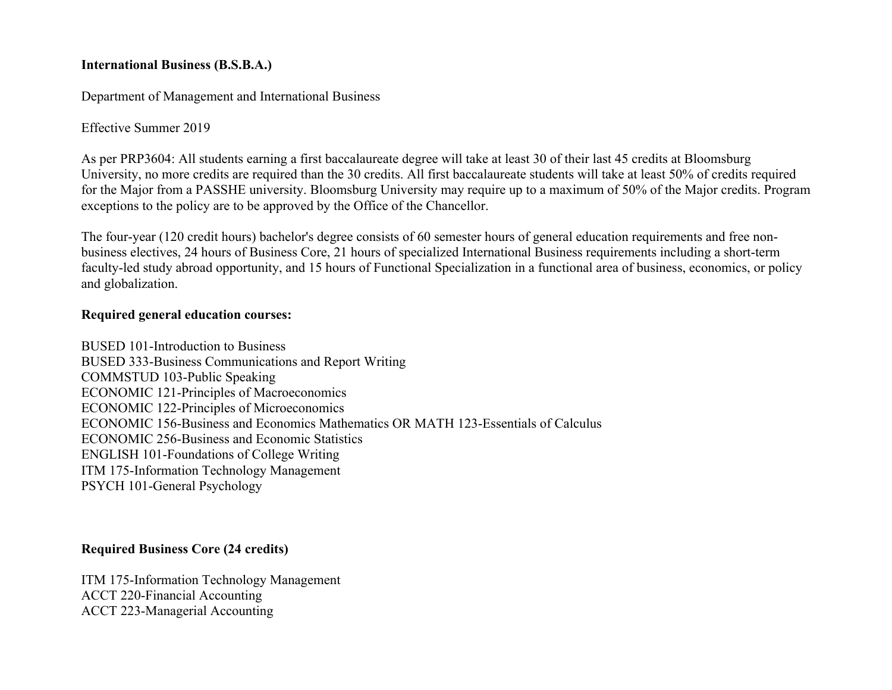### **International Business (B.S.B.A.)**

Department of Management and International Business

Effective Summer 2019

As per PRP3604: All students earning a first baccalaureate degree will take at least 30 of their last 45 credits at Bloomsburg University, no more credits are required than the 30 credits. All first baccalaureate students will take at least 50% of credits required for the Major from a PASSHE university. Bloomsburg University may require up to a maximum of 50% of the Major credits. Program exceptions to the policy are to be approved by the Office of the Chancellor.

The four-year (120 credit hours) bachelor's degree consists of 60 semester hours of general education requirements and free nonbusiness electives, 24 hours of Business Core, 21 hours of specialized International Business requirements including a short-term faculty-led study abroad opportunity, and 15 hours of Functional Specialization in a functional area of business, economics, or policy and globalization.

# **Required general education courses:**

BUSED 101-Introduction to Business BUSED 333-Business Communications and Report Writing COMMSTUD 103-Public Speaking ECONOMIC 121-Principles of Macroeconomics ECONOMIC 122-Principles of Microeconomics ECONOMIC 156-Business and Economics Mathematics OR MATH 123-Essentials of Calculus ECONOMIC 256-Business and Economic Statistics ENGLISH 101-Foundations of College Writing ITM 175-Information Technology Management PSYCH 101-General Psychology

# **Required Business Core (24 credits)**

ITM 175-Information Technology Management ACCT 220-Financial Accounting ACCT 223-Managerial Accounting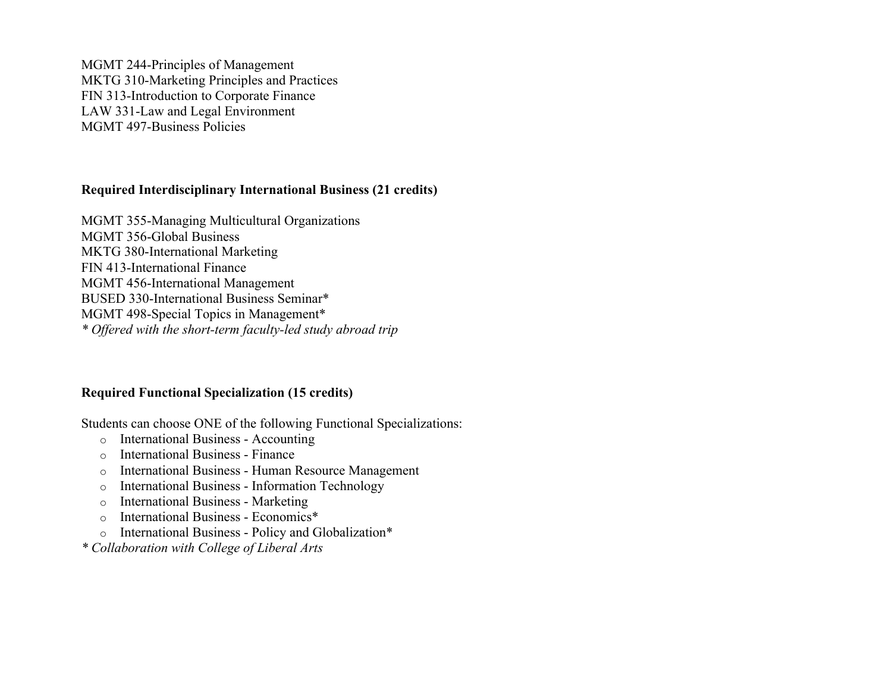MGMT 244-Principles of Management MKTG 310-Marketing Principles and Practices FIN 313-Introduction to Corporate Finance LAW 331-Law and Legal Environment MGMT 497-Business Policies

## **Required Interdisciplinary International Business (21 credits)**

MGMT 355-Managing Multicultural Organizations MGMT 356-Global Business MKTG 380-International Marketing FIN 413-International Finance MGMT 456-International Management BUSED 330-International Business Seminar\* MGMT 498-Special Topics in Management\* *\* Offered with the short-term faculty-led study abroad trip*

### **Required Functional Specialization (15 credits)**

Students can choose ONE of the following Functional Specializations:

- o International Business Accounting
- o International Business Finance
- o International Business Human Resource Management
- o International Business Information Technology
- o International Business Marketing
- o International Business Economics\*
- o International Business Policy and Globalization\*
- *\* Collaboration with College of Liberal Arts*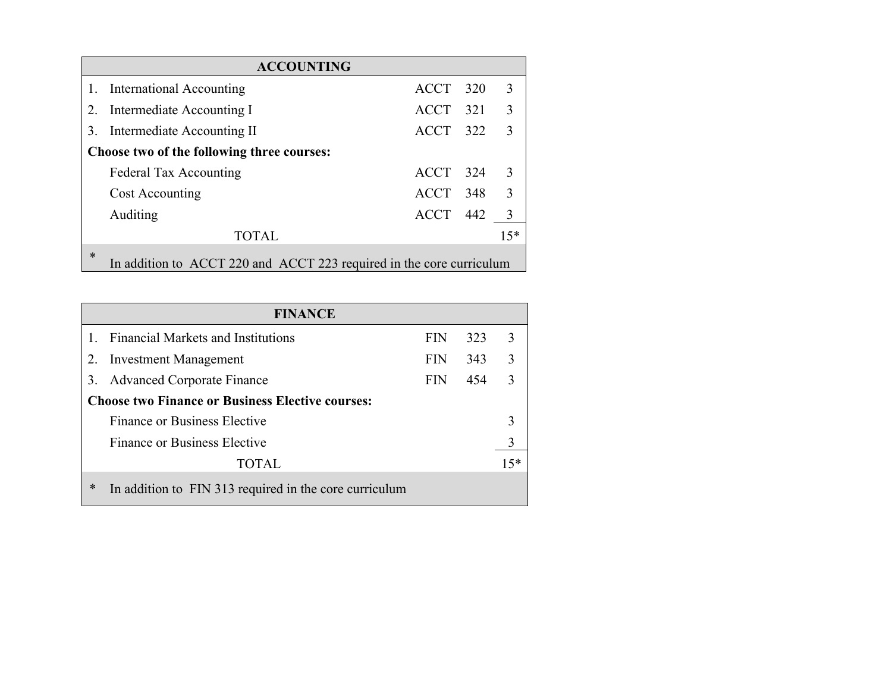| <b>ACCOUNTING</b>                                                              |                               |            |  |                |  |  |
|--------------------------------------------------------------------------------|-------------------------------|------------|--|----------------|--|--|
|                                                                                | 1. International Accounting   | ACCT 320   |  | 3              |  |  |
|                                                                                | 2. Intermediate Accounting I  | ACCT 321   |  | 3              |  |  |
|                                                                                | 3. Intermediate Accounting II | ACCT 322   |  | $\mathcal{R}$  |  |  |
| Choose two of the following three courses:                                     |                               |            |  |                |  |  |
|                                                                                | <b>Federal Tax Accounting</b> | ACCT 324   |  | 3              |  |  |
|                                                                                | Cost Accounting               | ACCT 348 3 |  |                |  |  |
|                                                                                | Auditing                      | ACCT 442   |  | $\overline{3}$ |  |  |
|                                                                                | <b>TOTAL</b>                  |            |  | $15*$          |  |  |
| $\ast$<br>In addition to ACCT 220 and ACCT 223 required in the core curriculum |                               |            |  |                |  |  |

| <b>FINANCE</b>                                          |                                                        |            |     |       |  |
|---------------------------------------------------------|--------------------------------------------------------|------------|-----|-------|--|
|                                                         | <b>Financial Markets and Institutions</b>              | <b>FIN</b> | 323 | 3     |  |
|                                                         | 2. Investment Management                               | <b>FIN</b> | 343 | 3     |  |
|                                                         | 3. Advanced Corporate Finance                          | <b>FIN</b> | 454 | 3     |  |
| <b>Choose two Finance or Business Elective courses:</b> |                                                        |            |     |       |  |
|                                                         | Finance or Business Elective                           |            |     | 3     |  |
|                                                         | Finance or Business Elective                           |            |     | 3     |  |
|                                                         | <b>TOTAL</b>                                           |            |     | $15*$ |  |
| *                                                       | In addition to FIN 313 required in the core curriculum |            |     |       |  |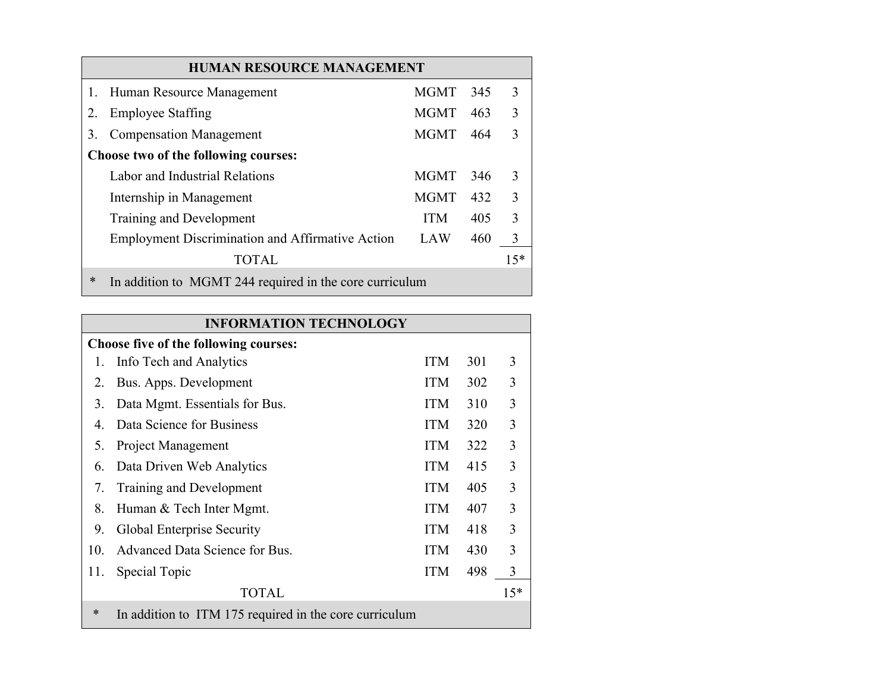|    | <b>HUMAN RESOURCE MANAGEMENT</b>                        |             |     |       |  |  |
|----|---------------------------------------------------------|-------------|-----|-------|--|--|
|    | 1. Human Resource Management                            | MGMT        | 345 | 3     |  |  |
| 2. | <b>Employee Staffing</b>                                | <b>MGMT</b> | 463 | 3     |  |  |
| 3. | <b>Compensation Management</b>                          | <b>MGMT</b> | 464 |       |  |  |
|    | Choose two of the following courses:                    |             |     |       |  |  |
|    | Labor and Industrial Relations                          | <b>MGMT</b> | 346 | 3     |  |  |
|    | Internship in Management                                | <b>MGMT</b> | 432 | 3     |  |  |
|    | Training and Development                                | <b>ITM</b>  | 405 | 3     |  |  |
|    | <b>Employment Discrimination and Affirmative Action</b> | <b>LAW</b>  | 460 | 3     |  |  |
|    | <b>TOTAL</b>                                            |             |     | $15*$ |  |  |
| *  | In addition to MGMT 244 required in the core curriculum |             |     |       |  |  |

| <b>INFORMATION TECHNOLOGY</b> |                                                        |            |     |       |
|-------------------------------|--------------------------------------------------------|------------|-----|-------|
|                               | <b>Choose five of the following courses:</b>           |            |     |       |
|                               | Info Tech and Analytics                                | <b>ITM</b> | 301 | 3     |
| 2.                            | Bus. Apps. Development                                 | <b>ITM</b> | 302 | 3     |
| 3.                            | Data Mgmt. Essentials for Bus.                         | <b>ITM</b> | 310 | 3     |
| 4.                            | Data Science for Business                              | <b>ITM</b> | 320 | 3     |
| 5.                            | Project Management                                     | <b>ITM</b> | 322 | 3     |
| 6.                            | Data Driven Web Analytics                              | <b>ITM</b> | 415 | 3     |
| 7.                            | Training and Development                               | <b>ITM</b> | 405 | 3     |
| 8.                            | Human & Tech Inter Mgmt.                               | <b>ITM</b> | 407 | 3     |
| 9.                            | Global Enterprise Security                             | <b>ITM</b> | 418 | 3     |
| 10.                           | Advanced Data Science for Bus.                         | <b>ITM</b> | 430 | 3     |
| 11.                           | Special Topic                                          | <b>ITM</b> | 498 | 3     |
|                               | <b>TOTAL</b>                                           |            |     | $15*$ |
| $\ast$                        | In addition to ITM 175 required in the core curriculum |            |     |       |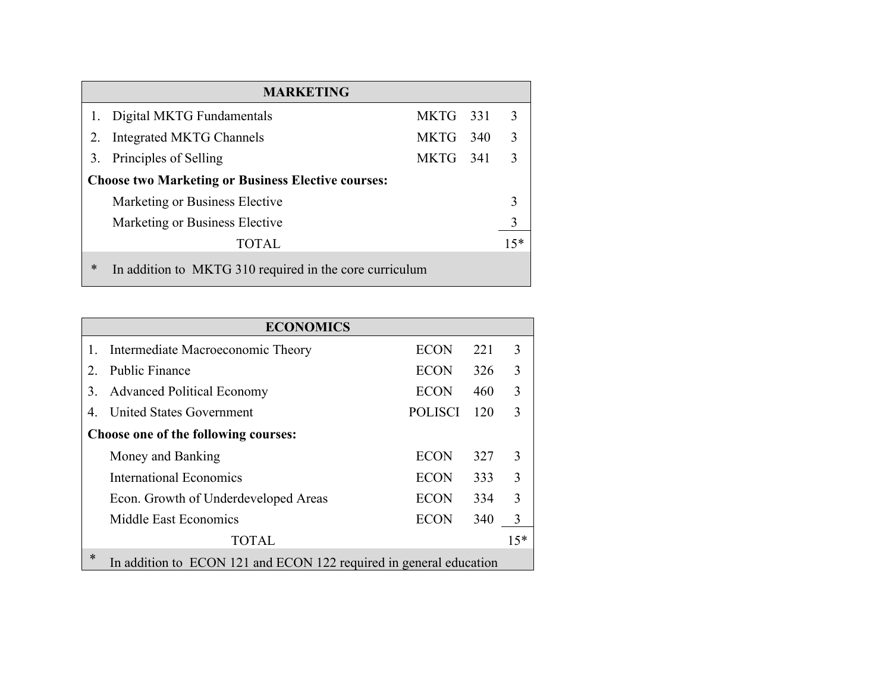| <b>MARKETING</b>                                          |                                                         |          |  |       |  |
|-----------------------------------------------------------|---------------------------------------------------------|----------|--|-------|--|
|                                                           | Digital MKTG Fundamentals                               | MKTG 331 |  | 3     |  |
|                                                           | 2. Integrated MKTG Channels                             | MKTG 340 |  | 3     |  |
|                                                           | 3. Principles of Selling                                | MKTG 341 |  | -3    |  |
| <b>Choose two Marketing or Business Elective courses:</b> |                                                         |          |  |       |  |
|                                                           | Marketing or Business Elective                          |          |  | 3     |  |
|                                                           | Marketing or Business Elective                          |          |  | 3     |  |
|                                                           | <b>TOTAL</b>                                            |          |  | $15*$ |  |
| $\ast$                                                    | In addition to MKTG 310 required in the core curriculum |          |  |       |  |

|                                      | <b>ECONOMICS</b>                                                   |                |     |       |
|--------------------------------------|--------------------------------------------------------------------|----------------|-----|-------|
|                                      | Intermediate Macroeconomic Theory                                  | <b>ECON</b>    | 221 | 3     |
| $2_{\cdot}$                          | <b>Public Finance</b>                                              | ECON           | 326 | 3     |
| 3.                                   | <b>Advanced Political Economy</b>                                  | <b>ECON</b>    | 460 | 3     |
| 4.                                   | <b>United States Government</b>                                    | <b>POLISCI</b> | 120 | 3     |
| Choose one of the following courses: |                                                                    |                |     |       |
|                                      | Money and Banking                                                  | <b>ECON</b>    | 327 | 3     |
|                                      | <b>International Economics</b>                                     | ECON           | 333 | 3     |
|                                      | Econ. Growth of Underdeveloped Areas                               | ECON           | 334 | 3     |
|                                      | Middle East Economics                                              | <b>ECON</b>    | 340 | 3     |
|                                      | <b>TOTAL</b>                                                       |                |     | $15*$ |
| *                                    | In addition to ECON 121 and ECON 122 required in general education |                |     |       |